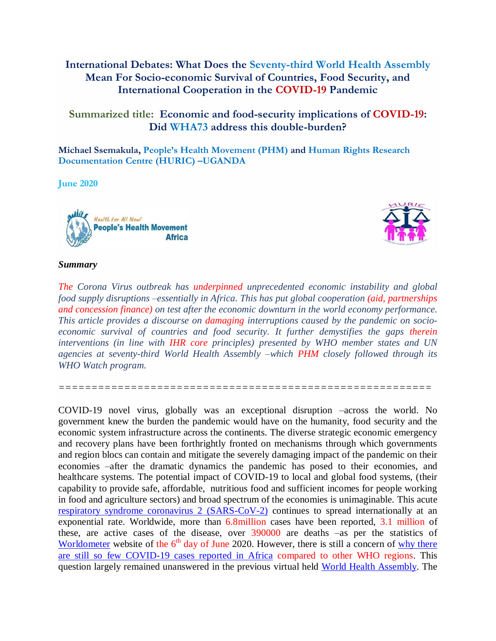# **International Debates: What Does the Seventy-third World Health Assembly Mean For Socio-economic Survival of Countries, Food Security, and International Cooperation in the COVID-19 Pandemic**

# **Summarized title: Economic and food-security implications of COVID-19: Did WHA73 address this double-burden?**

**Michael Ssemakula, People's Health Movement (PHM) and Human Rights Research Documentation Centre (HURIC) –UGANDA**

**June 2020** 





#### *Summary*

*The Corona Virus outbreak has underpinned unprecedented economic instability and global food supply disruptions –essentially in Africa. This has put global cooperation (aid, partnerships and concession finance) on test after the economic downturn in the world economy performance. This article provides a discourse on damaging interruptions caused by the pandemic on socioeconomic survival of countries and food security. It further demystifies the gaps therein interventions (in line with IHR core principles) presented by WHO member states and UN agencies at seventy-third World Health Assembly –which PHM closely followed through its WHO Watch program.*

*=========================================================*

COVID-19 novel virus, globally was an exceptional disruption –across the world. No government knew the burden the pandemic would have on the humanity, food security and the economic system infrastructure across the continents. The diverse strategic economic emergency and recovery plans have been forthrightly fronted on mechanisms through which governments and region blocs can contain and mitigate the severely damaging impact of the pandemic on their economies –after the dramatic dynamics the pandemic has posed to their economies, and healthcare systems. The potential impact of COVID-19 to local and global food systems, (their capability to provide safe, affordable, nutritious food and sufficient incomes for people working in food and agriculture sectors) and broad spectrum of the economies is unimaginable. This acute [respiratory syndrome coronavirus 2 \(SARS-CoV-2\)](https://scholar.google.com/scholar?q=Supporting+the+Health+Care+Workforce+During+the+COVID-19+Global+Epidemic&hl=en&as_sdt=0&as_vis=1&oi=scholart) continues to spread internationally at an exponential rate. Worldwide, more than 6.8million cases have been reported, 3.1 million of these, are active cases of the disease, over 390000 are deaths –as per the statistics of [Worldometer](https://www.worldometers.info/coronavirus/) website of the 6<sup>th</sup> day of June 2020. However, there is still a concern of why there [are still so few COVID-19 cases](https://www.newscientist.com/article/2236760-we-dont-know-why-so-few-covid-19-cases-have-been-reported-in-africa/) reported in Africa compared to other WHO regions. This question largely remained unanswered in the previous virtual held [World Health Assembly.](https://www.who.int/about/governance/world-health-assembly/seventy-third-world-health-assembly) The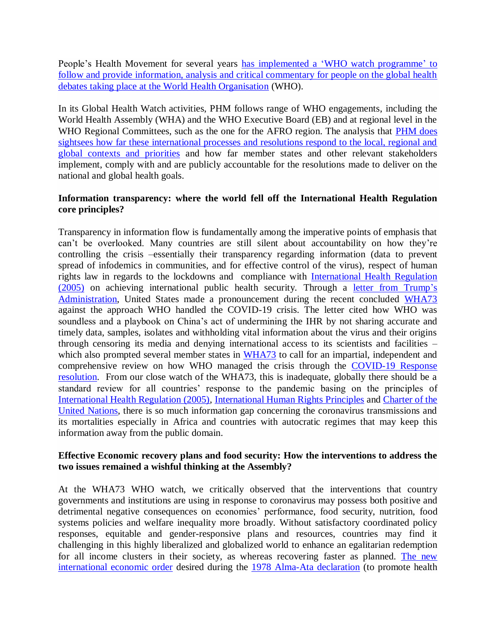People's Health Movement for several years [has implemented a 'WHO watch programme'](https://www.equinetafrica.org/newsletter/issue/2019-07-01) to [follow and provide information, analysis and critical commentary for people on the global health](https://www.equinetafrica.org/newsletter/issue/2019-07-01)  [debates taking place at the World Health Organisation](https://www.equinetafrica.org/newsletter/issue/2019-07-01) (WHO).

In its Global Health Watch activities, PHM follows range of WHO engagements, including the World Health Assembly (WHA) and the WHO Executive Board (EB) and at regional level in the WHO Regional Committees, such as the one for the AFRO region. The analysis that PHM does [sightsees how far these international processes and resolutions respond to the local, regional and](https://www.equinetafrica.org/newsletter/issue/2019-07-01)  [global contexts and priorities](https://www.equinetafrica.org/newsletter/issue/2019-07-01) and how far member states and other relevant stakeholders implement, comply with and are publicly accountable for the resolutions made to deliver on the national and global health goals.

### **Information transparency: where the world fell off the International Health Regulation core principles?**

Transparency in information flow is fundamentally among the imperative points of emphasis that can't be overlooked. Many countries are still silent about accountability on how they're controlling the crisis –essentially their transparency regarding information (data to prevent spread of infodemics in communities, and for effective control of the virus), respect of human rights law in regards to the lockdowns and compliance with [International Health Regulation](https://apps.who.int/iris/bitstream/handle/10665/69770/WHO_CDS_EPR_IHR_2007.1_eng.pdf?sequence=1)  [\(2005\)](https://apps.who.int/iris/bitstream/handle/10665/69770/WHO_CDS_EPR_IHR_2007.1_eng.pdf?sequence=1) on achieving international public health security. Through a [letter from Trump's](https://t.co/pF2kzPUpDv)  [Administration,](https://t.co/pF2kzPUpDv) United States made a pronouncement during the recent concluded [WHA73](https://www.who.int/about/governance/world-health-assembly/seventy-third-world-health-assembly) against the approach WHO handled the COVID-19 crisis. The letter cited how WHO was soundless and a playbook on China's act of undermining the IHR by not sharing accurate and timely data, samples, isolates and withholding vital information about the virus and their origins through censoring its media and denying international access to its scientists and facilities – which also prompted several member states in [WHA73](https://www.who.int/about/governance/world-health-assembly/seventy-third-world-health-assembly) to call for an impartial, independent and comprehensive review on how WHO managed the crisis through the [COVID-19 Response](https://pmovement.org/73rd-world-health-assembly-2020/)  [resolution.](https://pmovement.org/73rd-world-health-assembly-2020/) From our close watch of the WHA73, this is inadequate, globally there should be a standard review for all countries' response to the pandemic basing on the principles of [International Health Regulation \(2005\),](https://apps.who.int/iris/bitstream/handle/10665/69770/WHO_CDS_EPR_IHR_2007.1_eng.pdf?sequence=1) [International Human Rights Principles](https://www.unfpa.org/resources/human-rights-principles) and [Charter of the](https://www.un.org/en/charter-united-nations/)  [United Nations,](https://www.un.org/en/charter-united-nations/) there is so much information gap concerning the coronavirus transmissions and its mortalities especially in Africa and countries with autocratic regimes that may keep this information away from the public domain.

### **Effective Economic recovery plans and food security: How the interventions to address the two issues remained a wishful thinking at the Assembly?**

At the WHA73 WHO watch, we critically observed that the interventions that country governments and institutions are using in response to coronavirus may possess both positive and detrimental negative consequences on economies' performance, food security, nutrition, food systems policies and welfare inequality more broadly. Without satisfactory coordinated policy responses, equitable and gender-responsive plans and resources, countries may find it challenging in this highly liberalized and globalized world to enhance an egalitarian redemption for all income clusters in their society, as whereas recovering faster as planned. The new [international economic order](http://www.who.int/publications/almaata_declaration_en.pdf?ua=1) desired during the [1978 Alma-Ata](https://www.who.int/publications/almaata_declaration_en.pdf?ua=1) declaration (to promote health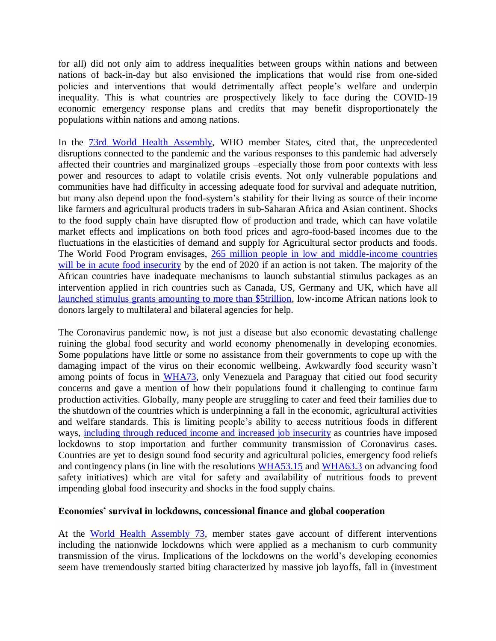for all) did not only aim to address inequalities between groups within nations and between nations of back-in-day but also envisioned the implications that would rise from one-sided policies and interventions that would detrimentally affect people's welfare and underpin inequality. This is what countries are prospectively likely to face during the COVID-19 economic emergency response plans and credits that may benefit disproportionately the populations within nations and among nations.

In the [73rd World Health Assembly,](https://www.who.int/about/governance/world-health-assembly/seventy-third-world-health-assembly) WHO member States, cited that, the unprecedented disruptions connected to the pandemic and the various responses to this pandemic had adversely affected their countries and marginalized groups –especially those from poor contexts with less power and resources to adapt to volatile crisis events. Not only vulnerable populations and communities have had difficulty in accessing adequate food for survival and adequate nutrition, but many also depend upon the food-system's stability for their living as source of their income like farmers and agricultural products traders in sub-Saharan Africa and Asian continent. Shocks to the food supply chain have disrupted flow of production and trade, which can have volatile market effects and implications on both food prices and agro-food-based incomes due to the fluctuations in the elasticities of demand and supply for Agricultural sector products and foods. The World Food Program envisages, [265 million people in low and middle-income countries](https://www.wfp.org/news/covid-19-will-double-number-people-facing-food-crises-unless-swift-action-taken)  [will be in acute food insecurity](https://www.wfp.org/news/covid-19-will-double-number-people-facing-food-crises-unless-swift-action-taken) by the end of 2020 if an action is not taken. The majority of the African countries have inadequate mechanisms to launch substantial stimulus packages as an intervention applied in rich countries such as Canada, US, Germany and UK, which have all [launched stimulus grants amounting to more than \\$5trillion,](https://www.wfp.org/news/covid-19-will-double-number-people-facing-food-crises-unless-swift-action-taken) low-income African nations look to donors largely to multilateral and bilateral agencies for help.

The Coronavirus pandemic now, is not just a disease but also economic devastating challenge ruining the global food security and world economy phenomenally in developing economies. Some populations have little or some no assistance from their governments to cope up with the damaging impact of the virus on their economic wellbeing. Awkwardly food security wasn't among points of focus in [WHA73,](https://www.who.int/about/governance/world-health-assembly/seventy-third-world-health-assembly) only Venezuela and Paraguay that citied out food security concerns and gave a mention of how their populations found it challenging to continue farm production activities. Globally, many people are struggling to cater and feed their families due to the shutdown of the countries which is underpinning a fall in the economic, agricultural activities and welfare standards. This is limiting people's ability to access nutritious foods in different ways, [including through reduced income and increased job insecurity](https://insight.wfp.org/how-to-minimize-the-impact-of-coronavirus-on-food-security-be2fa7885d7e) as countries have imposed lockdowns to stop importation and further community transmission of Coronavirus cases. Countries are yet to design sound food security and agricultural policies, emergency food reliefs and contingency plans (in line with the resolutions [WHA53.15](https://www.who.int/foodsafety/publications/biotech/WHA53.15.pdf) and [WHA63.3](https://apps.who.int/gb/ebwha/pdf_files/WHA63/A63_R3-en.pdf?ua=1&ua=1) on advancing food safety initiatives) which are vital for safety and availability of nutritious foods to prevent impending global food insecurity and shocks in the food supply chains.

#### **Economies' survival in lockdowns, concessional finance and global cooperation**

At the [World Health Assembly](https://www.who.int/about/governance/world-health-assembly/seventy-third-world-health-assembly) 73, member states gave account of different interventions including the nationwide lockdowns which were applied as a mechanism to curb community transmission of the virus. Implications of the lockdowns on the world's developing economies seem have tremendously started biting characterized by massive job layoffs, fall in (investment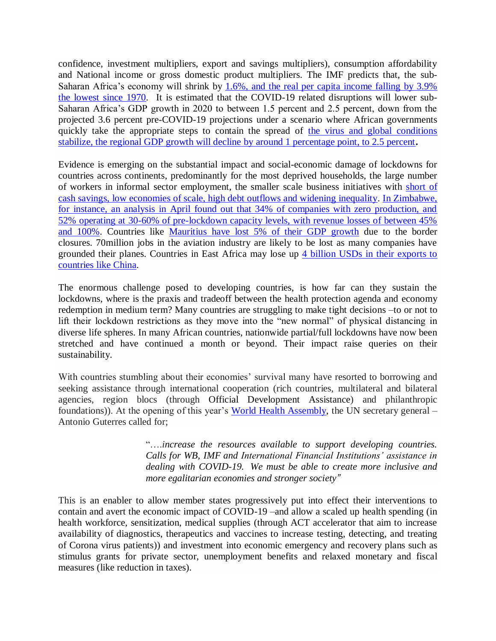confidence, investment multipliers, export and savings multipliers), consumption affordability and National income or gross domestic product multipliers. The IMF predicts that, the sub-Saharan Africa's economy will shrink by 1.6%, and the real per capita income falling by 3.9% [the lowest since 1970.](https://www.brookings.edu/blog/africa-in-focus/2020/03/18/strategies-for-coping-with-the-health-and-economic-effects-of-the-covid-19-pandemic-in-africa/) It is estimated that the COVID-19 related disruptions will lower sub-Saharan Africa's GDP growth in 2020 to between 1.5 percent and 2.5 percent, down from the projected 3.6 percent pre-COVID-19 projections [under a scenario where African governments](https://www.brookings.edu/blog/africa-in-focus/2020/03/18/strategies-for-coping-with-the-health-and-economic-effects-of-the-covid-19-pandemic-in-africa/)  [quickly take the appropriate steps to contain the spread of](https://www.brookings.edu/blog/africa-in-focus/2020/03/18/strategies-for-coping-with-the-health-and-economic-effects-of-the-covid-19-pandemic-in-africa/) the virus and global conditions [stabilize, the regional GDP growth will decline by around 1 percentage point, to 2.5 percent](https://www.brookings.edu/blog/africa-in-focus/2020/03/18/strategies-for-coping-with-the-health-and-economic-effects-of-the-covid-19-pandemic-in-africa/)**.**

Evidence is emerging on the substantial impact and social-economic damage of lockdowns for countries across continents, predominantly for the most deprived households, the large number of workers in informal sector employment, the smaller scale business initiatives with [short of](https://www.nasdaq.com/articles/copper-belt-miners-turn-to-tanzania-as-south-africa-lockdown-hobbles-ports-2020-04-07)  [cash savings, low economies of scale, high debt outflows and widening inequality.](https://www.nasdaq.com/articles/copper-belt-miners-turn-to-tanzania-as-south-africa-lockdown-hobbles-ports-2020-04-07) [In Zimbabwe,](https://www.theindependent.co.zw/2020/04/17/covid-19-lockdown-govt-must-put-exit-plan-in-place/)  [for instance, an analysis in April found out that 34% of companies with zero production, and](https://www.theindependent.co.zw/2020/04/17/covid-19-lockdown-govt-must-put-exit-plan-in-place/)  [52% operating at 30-60% of pre-lockdown capacity levels, with revenue losses of between 45%](https://www.theindependent.co.zw/2020/04/17/covid-19-lockdown-govt-must-put-exit-plan-in-place/)  [and 100%.](https://www.theindependent.co.zw/2020/04/17/covid-19-lockdown-govt-must-put-exit-plan-in-place/) Countries like [Mauritius have lost 5% of their GDP growth](https://www.bbc.co.uk/programmes/w13xtv6q) due to the border closures. 70million jobs in the aviation industry are likely to be lost as many companies have grounded their planes. Countries in East Africa may lose up [4 billion USDs in their exports to](https://www.bbc.co.uk/programmes/w13xtv6q)  [countries like China.](https://www.bbc.co.uk/programmes/w13xtv6q)

The enormous challenge posed to developing countries, is how far can they sustain the lockdowns, where is the praxis and tradeoff between the health protection agenda and economy redemption in medium term? Many countries are struggling to make tight decisions –to or not to lift their lockdown restrictions as they move into the "new normal" of physical distancing in diverse life spheres. In many African countries, nationwide partial/full lockdowns have now been stretched and have continued a month or beyond. Their impact raise queries on their sustainability.

With countries stumbling about their economies' survival many have resorted to borrowing and seeking assistance through international cooperation (rich countries, multilateral and bilateral agencies, region blocs (through Official Development Assistance) and philanthropic foundations)). At the opening of this year's [World Health Assembly,](https://www.who.int/about/governance/world-health-assembly/seventy-third-world-health-assembly) the UN secretary general – Antonio Guterres called for;

> "….*increase the resources available to support developing countries. Calls for WB, IMF and International Financial Institutions' assistance in dealing with COVID-19. We must be able to create more inclusive and more egalitarian economies and stronger society"*

This is an enabler to allow member states progressively put into effect their interventions to contain and avert the economic impact of COVID-19 –and allow a scaled up health spending (in health workforce, sensitization, medical supplies (through ACT accelerator that aim to increase availability of diagnostics, therapeutics and vaccines to increase testing, detecting, and treating of Corona virus patients)) and investment into economic emergency and recovery plans such as stimulus grants for private sector, unemployment benefits and relaxed monetary and fiscal measures (like reduction in taxes).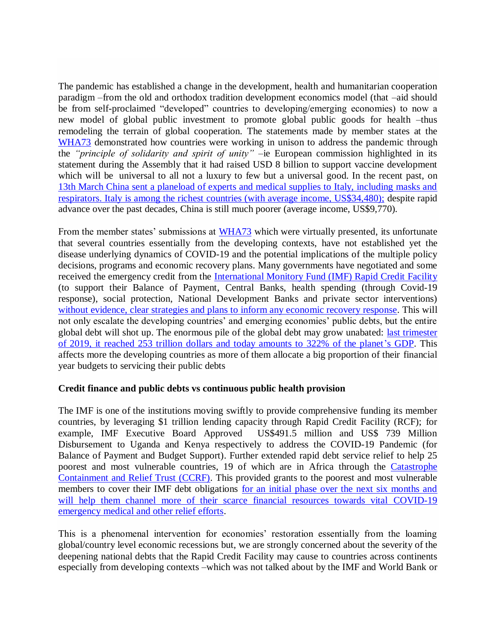The pandemic has established a change in the development, health and humanitarian cooperation paradigm –from the old and orthodox tradition development economics model (that –aid should be from self-proclaimed "developed" countries to developing/emerging economies) to now a new model of global public investment to promote global public goods for health –thus remodeling the terrain of global cooperation. The statements made by member states at the [WHA73](https://www.who.int/about/governance/world-health-assembly/seventy-third-world-health-assembly) demonstrated how countries were working in unison to address the pandemic through the *"principle of solidarity and spirit of unity"* –ie European commission highlighted in its statement during the Assembly that it had raised USD 8 billion to support vaccine development which will be universal to all not a luxury to few but a universal good. In the recent past, on [13th March China sent a planeload of experts and medical supplies to Italy, including masks and](https://www.reuters.com/article/us-health-coronavirus-italy-respirators/china-sends-medical-supplies-experts-to-help-italy-battle-coronavirus-idUSKBN2101IM)  [respirators. Italy is among the richest countries \(with average income, US\\$34,480\);](https://www.reuters.com/article/us-health-coronavirus-italy-respirators/china-sends-medical-supplies-experts-to-help-italy-battle-coronavirus-idUSKBN2101IM) despite rapid advance over the past decades, China is still much poorer (average income, US\$9,770).

From the member states' submissions at [WHA73](https://www.who.int/about/governance/world-health-assembly/seventy-third-world-health-assembly) which were virtually presented, its unfortunate that several countries essentially from the developing contexts, have not established yet the disease underlying dynamics of COVID-19 and the potential implications of the multiple policy decisions, programs and economic recovery plans. Many governments have negotiated and some received the emergency credit from the [International Monitory Fund \(IMF\) Rapid Credit Facility](https://www.imf.org/en/About/Factsheets/Sheets/2016/08/02/19/55/Rapid-Financing-Instrument) (to support their Balance of Payment, Central Banks, health spending (through Covid-19 response), social protection, National Development Banks and private sector interventions) [without evidence, clear strategies and plans to inform any economic recovery response.](https://www.monitor.co.ug/OpEd/Commentary/Covid-19-impact-Without-planning-govt-putting-cart-before-horse/689364-5549354-144chxp/index.html?fbclid=IwAR0hoULHb7Xv50RChTgl9-Q-KB4DkEerX0S7IinUvPexqsuh9l_E1vY5Hi4) This will not only escalate the developing countries' and emerging economies' public debts, but the entire global debt will shot up. The enormous pile of the global debt may grow unabated: [last trimester](https://www.other-news.info/2020/03/capitalism-in-chaos/)  [of 2019, it reached 253 trillion dollars and today amounts to 322% of the planet's GDP.](https://www.other-news.info/2020/03/capitalism-in-chaos/) This affects more the developing countries as more of them allocate a big proportion of their financial year budgets to servicing their public debts

## **Credit finance and public debts vs continuous public health provision**

The IMF is one of the institutions moving swiftly to provide comprehensive funding its member countries, by leveraging \$1 trillion lending capacity through Rapid Credit Facility (RCF); for example, IMF Executive Board Approved US\$491.5 million and US\$ 739 Million Disbursement to Uganda and Kenya respectively to address the COVID-19 Pandemic (for Balance of Payment and Budget Support). Further extended rapid debt service relief to help 25 poorest and most vulnerable countries, 19 of which are in Africa through the [Catastrophe](http://www.rfi.fr/en/international/20200414-imf-grants-to-25-poorest-members-to-support-coronavirus-fights-calls-for-massive-debt-relief)  [Containment and Relief Trust \(CCRF\).](http://www.rfi.fr/en/international/20200414-imf-grants-to-25-poorest-members-to-support-coronavirus-fights-calls-for-massive-debt-relief) This provided grants to the poorest and most vulnerable members to cover their IMF debt obligations [for an initial phase over the next six months and](http://www.rfi.fr/en/international/20200414-imf-grants-to-25-poorest-members-to-support-coronavirus-fights-calls-for-massive-debt-relief)  will help them channel more of their scarce financial resources towards vital COVID-19 [emergency medical and other relief efforts.](http://www.rfi.fr/en/international/20200414-imf-grants-to-25-poorest-members-to-support-coronavirus-fights-calls-for-massive-debt-relief)

This is a phenomenal intervention for economies' restoration essentially from the loaming global/country level economic recessions but, we are strongly concerned about the severity of the deepening national debts that the Rapid Credit Facility may cause to countries across continents especially from developing contexts –which was not talked about by the IMF and World Bank or